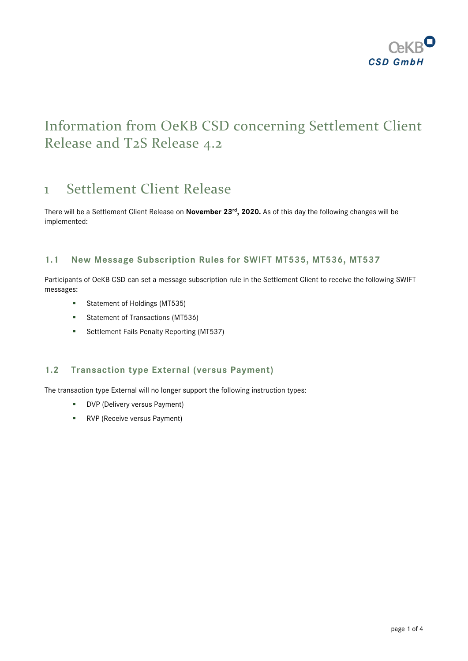

# Information from OeKB CSD concerning Settlement Client Release and T2S Release 4.2

## 1 Settlement Client Release

There will be a Settlement Client Release on **November 23 rd , 2020.** As of this day the following changes will be implemented:

### **1.1 New Message Subscription Rules for SWIFT MT535, MT536, MT537**

Participants of OeKB CSD can set a message subscription rule in the Settlement Client to receive the following SWIFT messages:

- **Statement of Holdings (MT535)**
- **Statement of Transactions (MT536)**
- **Settlement Fails Penalty Reporting (MT537)**

### **1.2 Transaction type External (versus Payment)**

The transaction type External will no longer support the following instruction types:

- **DVP** (Delivery versus Payment)
- **RVP** (Receive versus Payment)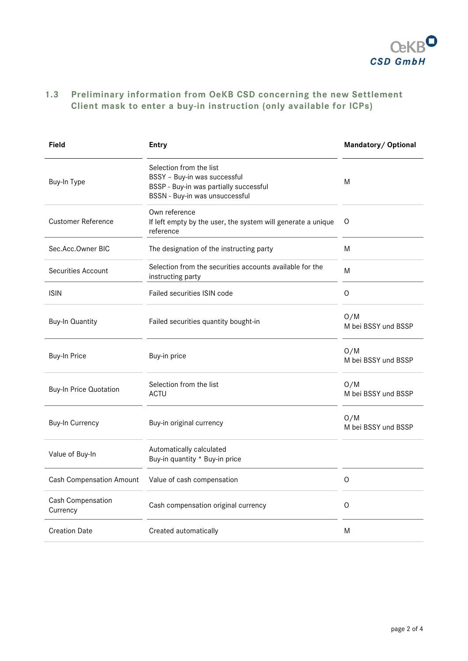

### **1.3 Preliminary information from OeKB CSD concerning the new Settlement Client mask to enter a buy-in instruction (only available for ICPs)**

| <b>Field</b>                    | <b>Entry</b>                                                                                                                        | Mandatory/ Optional        |  |
|---------------------------------|-------------------------------------------------------------------------------------------------------------------------------------|----------------------------|--|
| Buy-In Type                     | Selection from the list<br>BSSY - Buy-in was successful<br>BSSP - Buy-in was partially successful<br>BSSN - Buy-in was unsuccessful | M                          |  |
| <b>Customer Reference</b>       | Own reference<br>If left empty by the user, the system will generate a unique<br>reference                                          | O                          |  |
| Sec.Acc.Owner BIC               | The designation of the instructing party                                                                                            | M                          |  |
| <b>Securities Account</b>       | Selection from the securities accounts available for the<br>instructing party                                                       | M                          |  |
| <b>ISIN</b>                     | Failed securities ISIN code                                                                                                         | O                          |  |
| <b>Buy-In Quantity</b>          | Failed securities quantity bought-in                                                                                                | O/M<br>M bei BSSY und BSSP |  |
| <b>Buy-In Price</b>             | Buy-in price                                                                                                                        | O/M<br>M bei BSSY und BSSP |  |
| <b>Buy-In Price Quotation</b>   | Selection from the list<br>ACTU                                                                                                     | O/M<br>M bei BSSY und BSSP |  |
| <b>Buy-In Currency</b>          | Buy-in original currency                                                                                                            | O/M<br>M bei BSSY und BSSP |  |
| Value of Buy-In                 | Automatically calculated<br>Buy-in quantity * Buy-in price                                                                          |                            |  |
| <b>Cash Compensation Amount</b> | Value of cash compensation                                                                                                          | O                          |  |
| Cash Compensation<br>Currency   | Cash compensation original currency                                                                                                 | O                          |  |
| <b>Creation Date</b>            | Created automatically                                                                                                               | M                          |  |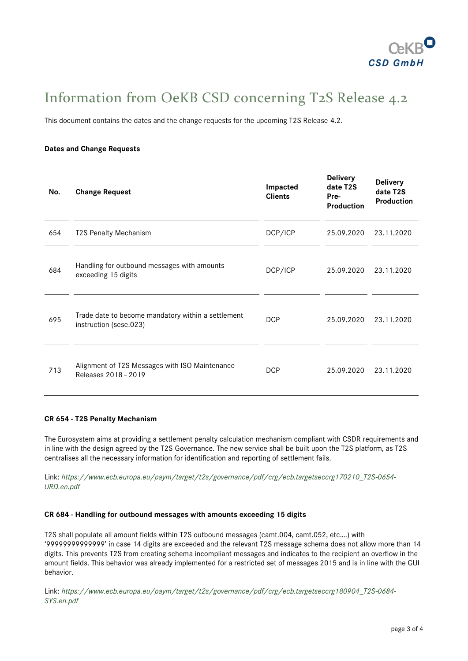

# Information from OeKB CSD concerning T2S Release 4.2

This document contains the dates and the change requests for the upcoming T2S Release 4.2.

#### **Dates and Change Requests**

| No. | <b>Change Request</b>                                                        | Impacted<br><b>Clients</b> | <b>Delivery</b><br>date T2S<br>Pre-<br><b>Production</b> | <b>Delivery</b><br>date T2S<br><b>Production</b> |
|-----|------------------------------------------------------------------------------|----------------------------|----------------------------------------------------------|--------------------------------------------------|
| 654 | <b>T2S Penalty Mechanism</b>                                                 | DCP/ICP                    | 25.09.2020                                               | 23.11.2020                                       |
| 684 | Handling for outbound messages with amounts<br>exceeding 15 digits           | DCP/ICP                    | 25.09.2020                                               | 23.11.2020                                       |
| 695 | Trade date to become mandatory within a settlement<br>instruction (sese.023) | <b>DCP</b>                 | 25.09.2020                                               | 23.11.2020                                       |
| 713 | Alignment of T2S Messages with ISO Maintenance<br>Releases 2018 - 2019       | <b>DCP</b>                 | 25.09.2020                                               | 23.11.2020                                       |

#### **CR 654 - T2S Penalty Mechanism**

The Eurosystem aims at providing a settlement penalty calculation mechanism compliant with CSDR requirements and in line with the design agreed by the T2S Governance. The new service shall be built upon the T2S platform, as T2S centralises all the necessary information for identification and reporting of settlement fails.

Link: *[https://www.ecb.europa.eu/paym/target/t2s/governance/pdf/crg/ecb.targetseccrg170210\\_T2S-0654-](https://www.ecb.europa.eu/paym/target/t2s/governance/pdf/crg/ecb.targetseccrg170210_T2S-0654-URD.en.pdf) [URD.en.pdf](https://www.ecb.europa.eu/paym/target/t2s/governance/pdf/crg/ecb.targetseccrg170210_T2S-0654-URD.en.pdf)*

#### **CR 684 - Handling for outbound messages with amounts exceeding 15 digits**

T2S shall populate all amount fields within T2S outbound messages (camt.004, camt.052, etc….) with '99999999999999' in case 14 digits are exceeded and the relevant T2S message schema does not allow more than 14 digits. This prevents T2S from creating schema incompliant messages and indicates to the recipient an overflow in the amount fields. This behavior was already implemented for a restricted set of messages 2015 and is in line with the GUI behavior.

Link: *[https://www.ecb.europa.eu/paym/target/t2s/governance/pdf/crg/ecb.targetseccrg180904\\_T2S-0684-](https://www.ecb.europa.eu/paym/target/t2s/governance/pdf/crg/ecb.targetseccrg180904_T2S-0684-SYS.en.pdf) [SYS.en.pdf](https://www.ecb.europa.eu/paym/target/t2s/governance/pdf/crg/ecb.targetseccrg180904_T2S-0684-SYS.en.pdf)*